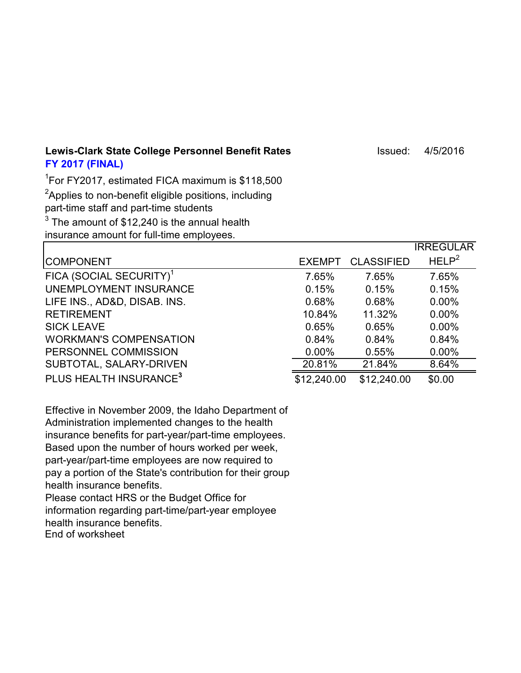Lewis-Clark State College Personnel Benefit Rates **Internative Clark State College Personnel Benefit Rates** Internative Issued: 4/5/2016 **FY 2017 (FINAL)**

1 For FY2017, estimated FICA maximum is \$118,500

 ${}^{2}$ Applies to non-benefit eligible positions, including

part-time staff and part-time students

 $^3$  The amount of \$12,240 is the annual health

insurance amount for full-time employees.

|                                     |               |                   | <b>IRREGULAR</b>  |
|-------------------------------------|---------------|-------------------|-------------------|
| <b>COMPONENT</b>                    | <b>EXEMPT</b> | <b>CLASSIFIED</b> | HELP <sup>2</sup> |
| FICA (SOCIAL SECURITY) <sup>1</sup> | 7.65%         | 7.65%             | 7.65%             |
| UNEMPLOYMENT INSURANCE              | 0.15%         | 0.15%             | 0.15%             |
| LIFE INS., AD&D, DISAB. INS.        | 0.68%         | 0.68%             | $0.00\%$          |
| <b>RETIREMENT</b>                   | 10.84%        | 11.32%            | $0.00\%$          |
| <b>SICK LEAVE</b>                   | 0.65%         | 0.65%             | $0.00\%$          |
| <b>WORKMAN'S COMPENSATION</b>       | 0.84%         | 0.84%             | 0.84%             |
| PERSONNEL COMMISSION                | $0.00\%$      | 0.55%             | $0.00\%$          |
| SUBTOTAL, SALARY-DRIVEN             | 20.81%        | 21.84%            | 8.64%             |
| PLUS HEALTH INSURANCE <sup>3</sup>  | \$12,240.00   | \$12,240.00       | \$0.00            |

Effective in November 2009, the Idaho Department of Administration implemented changes to the health insurance benefits for part-year/part-time employees. Based upon the number of hours worked per week, part-year/part-time employees are now required to pay a portion of the State's contribution for their group health insurance benefits.

Please contact HRS or the Budget Office for information regarding part-time/part-year employee health insurance benefits. End of worksheet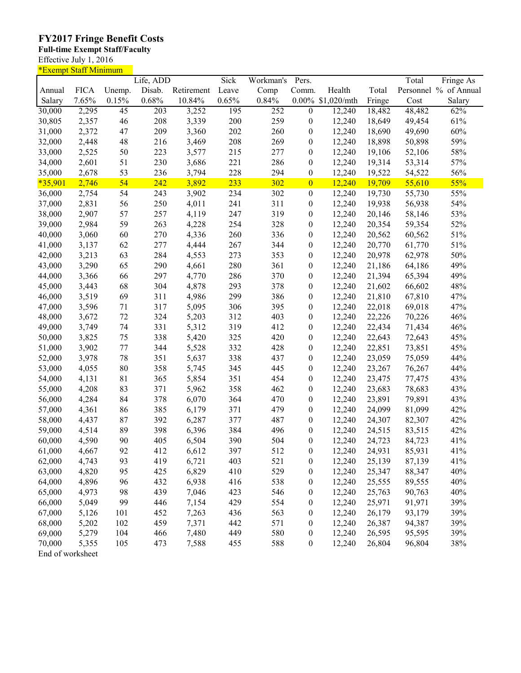## **FY2017 Fringe Benefit Costs**

## **Full-time Exempt Staff/Faculty**

Effective July 1, 2016

| <u>*Exempt Staff Minimum</u> |             |                 |           |            |       |           |                  |             |        |        |                       |
|------------------------------|-------------|-----------------|-----------|------------|-------|-----------|------------------|-------------|--------|--------|-----------------------|
|                              |             |                 | Life, ADD |            | Sick  | Workman's | Pers.            |             |        | Total  | Fringe As             |
| Annual                       | <b>FICA</b> | Unemp.          | Disab.    | Retirement | Leave | Comp      | Comm.            | Health      | Total  |        | Personnel % of Annual |
| Salary                       | 7.65%       | 0.15%           | 0.68%     | 10.84%     | 0.65% | 0.84%     | $0.00\%$         | \$1,020/mth | Fringe | Cost   | Salary                |
| 30,000                       | 2,295       | $\overline{45}$ | 203       | 3,252      | 195   | 252       | $\overline{0}$   | 12,240      | 18,482 | 48,482 | 62%                   |
| 30,805                       | 2,357       | 46              | 208       | 3,339      | 200   | 259       | $\boldsymbol{0}$ | 12,240      | 18,649 | 49,454 | 61%                   |
| 31,000                       | 2,372       | 47              | 209       | 3,360      | 202   | 260       | $\boldsymbol{0}$ | 12,240      | 18,690 | 49,690 | 60%                   |
| 32,000                       | 2,448       | 48              | 216       | 3,469      | 208   | 269       | $\boldsymbol{0}$ | 12,240      | 18,898 | 50,898 | 59%                   |
| 33,000                       | 2,525       | 50              | 223       | 3,577      | 215   | 277       | $\boldsymbol{0}$ | 12,240      | 19,106 | 52,106 | 58%                   |
| 34,000                       | 2,601       | 51              | 230       | 3,686      | 221   | 286       | $\boldsymbol{0}$ | 12,240      | 19,314 | 53,314 | 57%                   |
| 35,000                       | 2,678       | 53              | 236       | 3,794      | 228   | 294       | $\boldsymbol{0}$ | 12,240      | 19,522 | 54,522 | 56%                   |
| $*35,901$                    | 2,746       | 54              | 242       | 3,892      | 233   | 302       | $\overline{0}$   | 12,240      | 19,709 | 55,610 | 55%                   |
| 36,000                       | 2,754       | 54              | 243       | 3,902      | 234   | 302       | $\boldsymbol{0}$ | 12,240      | 19,730 | 55,730 | 55%                   |
| 37,000                       | 2,831       | 56              | 250       | 4,011      | 241   | 311       | $\boldsymbol{0}$ | 12,240      | 19,938 | 56,938 | 54%                   |
| 38,000                       | 2,907       | 57              | 257       | 4,119      | 247   | 319       | $\boldsymbol{0}$ | 12,240      | 20,146 | 58,146 | 53%                   |
|                              | 2,984       | 59              | 263       | 4,228      | 254   | 328       |                  | 12,240      | 20,354 |        | 52%                   |
| 39,000                       |             |                 |           |            |       |           | $\boldsymbol{0}$ |             |        | 59,354 |                       |
| 40,000                       | 3,060       | 60              | 270       | 4,336      | 260   | 336       | $\boldsymbol{0}$ | 12,240      | 20,562 | 60,562 | 51%                   |
| 41,000                       | 3,137       | 62              | 277       | 4,444      | 267   | 344       | $\boldsymbol{0}$ | 12,240      | 20,770 | 61,770 | 51%                   |
| 42,000                       | 3,213       | 63              | 284       | 4,553      | 273   | 353       | $\boldsymbol{0}$ | 12,240      | 20,978 | 62,978 | 50%                   |
| 43,000                       | 3,290       | 65              | 290       | 4,661      | 280   | 361       | $\boldsymbol{0}$ | 12,240      | 21,186 | 64,186 | 49%                   |
| 44,000                       | 3,366       | 66              | 297       | 4,770      | 286   | 370       | $\boldsymbol{0}$ | 12,240      | 21,394 | 65,394 | 49%                   |
| 45,000                       | 3,443       | 68              | 304       | 4,878      | 293   | 378       | $\boldsymbol{0}$ | 12,240      | 21,602 | 66,602 | 48%                   |
| 46,000                       | 3,519       | 69              | 311       | 4,986      | 299   | 386       | $\boldsymbol{0}$ | 12,240      | 21,810 | 67,810 | 47%                   |
| 47,000                       | 3,596       | 71              | 317       | 5,095      | 306   | 395       | $\boldsymbol{0}$ | 12,240      | 22,018 | 69,018 | 47%                   |
| 48,000                       | 3,672       | 72              | 324       | 5,203      | 312   | 403       | $\boldsymbol{0}$ | 12,240      | 22,226 | 70,226 | 46%                   |
| 49,000                       | 3,749       | 74              | 331       | 5,312      | 319   | 412       | $\boldsymbol{0}$ | 12,240      | 22,434 | 71,434 | 46%                   |
| 50,000                       | 3,825       | 75              | 338       | 5,420      | 325   | 420       | $\boldsymbol{0}$ | 12,240      | 22,643 | 72,643 | 45%                   |
| 51,000                       | 3,902       | 77              | 344       | 5,528      | 332   | 428       | $\boldsymbol{0}$ | 12,240      | 22,851 | 73,851 | 45%                   |
| 52,000                       | 3,978       | 78              | 351       | 5,637      | 338   | 437       | $\boldsymbol{0}$ | 12,240      | 23,059 | 75,059 | 44%                   |
| 53,000                       | 4,055       | 80              | 358       | 5,745      | 345   | 445       | $\boldsymbol{0}$ | 12,240      | 23,267 | 76,267 | 44%                   |
| 54,000                       | 4,131       | 81              | 365       | 5,854      | 351   | 454       | $\boldsymbol{0}$ | 12,240      | 23,475 | 77,475 | 43%                   |
| 55,000                       | 4,208       | 83              | 371       | 5,962      | 358   | 462       | $\boldsymbol{0}$ | 12,240      | 23,683 | 78,683 | 43%                   |
| 56,000                       | 4,284       | 84              | 378       | 6,070      | 364   | 470       | $\boldsymbol{0}$ | 12,240      | 23,891 | 79,891 | 43%                   |
| 57,000                       | 4,361       | 86              | 385       | 6,179      | 371   | 479       | $\boldsymbol{0}$ | 12,240      | 24,099 | 81,099 | 42%                   |
| 58,000                       | 4,437       | 87              | 392       | 6,287      | 377   | 487       | $\boldsymbol{0}$ | 12,240      | 24,307 | 82,307 | 42%                   |
| 59,000                       | 4,514       | 89              | 398       | 6,396      | 384   | 496       | $\boldsymbol{0}$ | 12,240      | 24,515 | 83,515 | 42%                   |
| 60,000                       | 4,590       | 90              | 405       | 6,504      | 390   | 504       | $\mathbf{0}$     | 12,240      | 24,723 | 84,723 | 41%                   |
| 61,000                       | 4,667       | 92              | 412       | 6,612      | 397   | 512       | $\boldsymbol{0}$ | 12,240      | 24,931 | 85,931 | 41%                   |
| 62,000                       | 4,743       | 93              | 419       | 6,721      | 403   | 521       | $\boldsymbol{0}$ | 12,240      | 25,139 | 87,139 | 41%                   |
| 63,000                       | 4,820       | 95              | 425       | 6,829      | 410   | 529       | $\boldsymbol{0}$ | 12,240      | 25,347 | 88,347 | 40%                   |
|                              |             |                 |           |            |       |           |                  |             |        |        |                       |
| 64,000                       | 4,896       | 96              | 432       | 6,938      | 416   | 538       | $\boldsymbol{0}$ | 12,240      | 25,555 | 89,555 | 40%                   |
| 65,000                       | 4,973       | 98              | 439       | 7,046      | 423   | 546       | $\boldsymbol{0}$ | 12,240      | 25,763 | 90,763 | 40%                   |
| 66,000                       | 5,049       | 99              | 446       | 7,154      | 429   | 554       | $\boldsymbol{0}$ | 12,240      | 25,971 | 91,971 | 39%                   |
| 67,000                       | 5,126       | 101             | 452       | 7,263      | 436   | 563       | $\boldsymbol{0}$ | 12,240      | 26,179 | 93,179 | 39%                   |
| 68,000                       | 5,202       | 102             | 459       | 7,371      | 442   | 571       | $\boldsymbol{0}$ | 12,240      | 26,387 | 94,387 | 39%                   |
| 69,000                       | 5,279       | 104             | 466       | 7,480      | 449   | 580       | $\boldsymbol{0}$ | 12,240      | 26,595 | 95,595 | 39%                   |
| 70,000                       | 5,355       | 105             | 473       | 7,588      | 455   | 588       | $\boldsymbol{0}$ | 12,240      | 26,804 | 96,804 | 38%                   |
| End of worksheet             |             |                 |           |            |       |           |                  |             |        |        |                       |